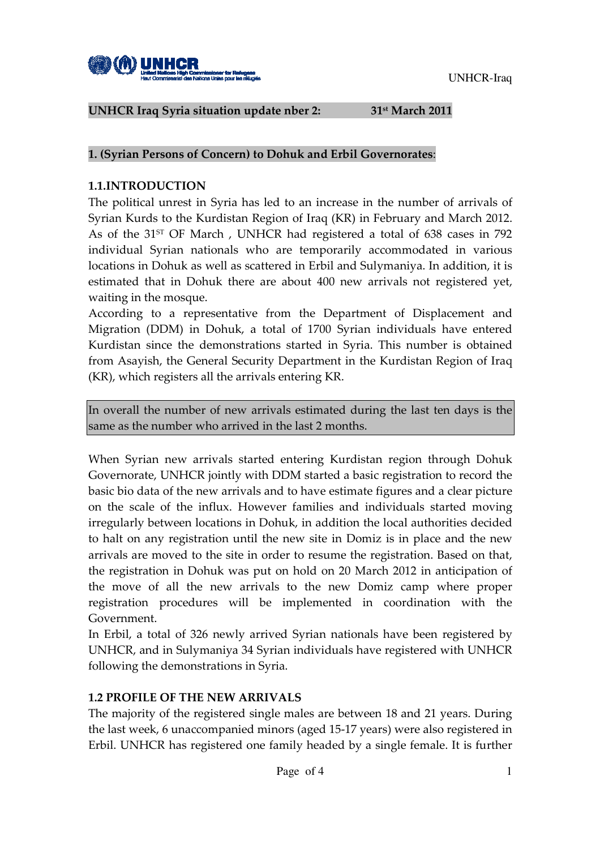

#### UNHCR Iraq Syria situation update nber 2: 31<sup>st</sup> March 2011

#### 1. (Syrian Persons of Concern) to Dohuk and Erbil Governorates:

### 1.1.INTRODUCTION

The political unrest in Syria has led to an increase in the number of arrivals of Syrian Kurds to the Kurdistan Region of Iraq (KR) in February and March 2012. As of the 31<sup>st</sup> OF March, UNHCR had registered a total of 638 cases in 792 individual Syrian nationals who are temporarily accommodated in various locations in Dohuk as well as scattered in Erbil and Sulymaniya. In addition, it is estimated that in Dohuk there are about 400 new arrivals not registered yet, waiting in the mosque.

According to a representative from the Department of Displacement and Migration (DDM) in Dohuk, a total of 1700 Syrian individuals have entered Kurdistan since the demonstrations started in Syria. This number is obtained from Asayish, the General Security Department in the Kurdistan Region of Iraq (KR), which registers all the arrivals entering KR.

In overall the number of new arrivals estimated during the last ten days is the same as the number who arrived in the last 2 months.

When Syrian new arrivals started entering Kurdistan region through Dohuk Governorate, UNHCR jointly with DDM started a basic registration to record the basic bio data of the new arrivals and to have estimate figures and a clear picture on the scale of the influx. However families and individuals started moving irregularly between locations in Dohuk, in addition the local authorities decided to halt on any registration until the new site in Domiz is in place and the new arrivals are moved to the site in order to resume the registration. Based on that, the registration in Dohuk was put on hold on 20 March 2012 in anticipation of the move of all the new arrivals to the new Domiz camp where proper registration procedures will be implemented in coordination with the Government.

In Erbil, a total of 326 newly arrived Syrian nationals have been registered by UNHCR, and in Sulymaniya 34 Syrian individuals have registered with UNHCR following the demonstrations in Syria.

#### 1.2 PROFILE OF THE NEW ARRIVALS

The majority of the registered single males are between 18 and 21 years. During the last week, 6 unaccompanied minors (aged 15-17 years) were also registered in Erbil. UNHCR has registered one family headed by a single female. It is further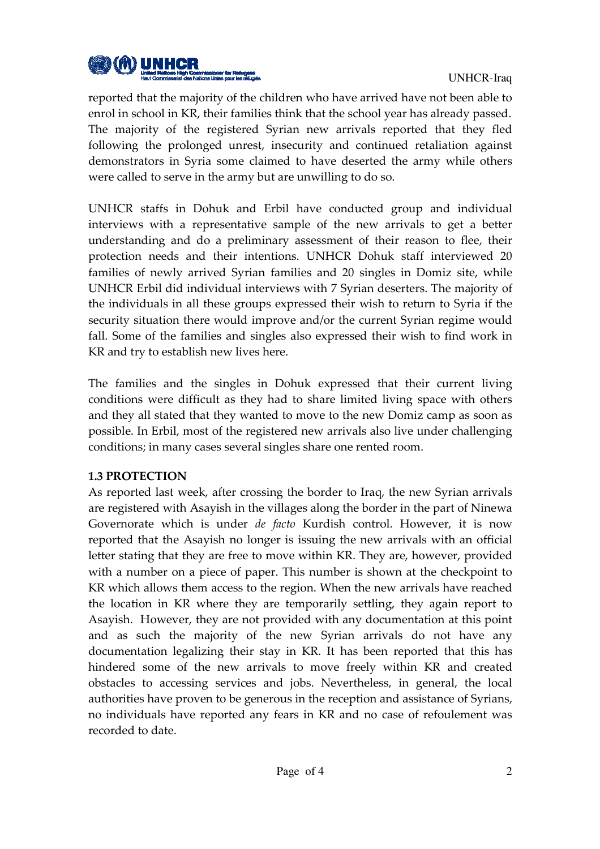

reported that the majority of the children who have arrived have not been able to enrol in school in KR, their families think that the school year has already passed. The majority of the registered Syrian new arrivals reported that they fled following the prolonged unrest, insecurity and continued retaliation against demonstrators in Syria some claimed to have deserted the army while others were called to serve in the army but are unwilling to do so.

UNHCR staffs in Dohuk and Erbil have conducted group and individual interviews with a representative sample of the new arrivals to get a better understanding and do a preliminary assessment of their reason to flee, their protection needs and their intentions. UNHCR Dohuk staff interviewed 20 families of newly arrived Syrian families and 20 singles in Domiz site, while UNHCR Erbil did individual interviews with 7 Syrian deserters. The majority of the individuals in all these groups expressed their wish to return to Syria if the security situation there would improve and/or the current Syrian regime would fall. Some of the families and singles also expressed their wish to find work in KR and try to establish new lives here.

The families and the singles in Dohuk expressed that their current living conditions were difficult as they had to share limited living space with others and they all stated that they wanted to move to the new Domiz camp as soon as possible. In Erbil, most of the registered new arrivals also live under challenging conditions; in many cases several singles share one rented room.

#### 1.3 PROTECTION

As reported last week, after crossing the border to Iraq, the new Syrian arrivals are registered with Asayish in the villages along the border in the part of Ninewa Governorate which is under de facto Kurdish control. However, it is now reported that the Asayish no longer is issuing the new arrivals with an official letter stating that they are free to move within KR. They are, however, provided with a number on a piece of paper. This number is shown at the checkpoint to KR which allows them access to the region. When the new arrivals have reached the location in KR where they are temporarily settling, they again report to Asayish. However, they are not provided with any documentation at this point and as such the majority of the new Syrian arrivals do not have any documentation legalizing their stay in KR. It has been reported that this has hindered some of the new arrivals to move freely within KR and created obstacles to accessing services and jobs. Nevertheless, in general, the local authorities have proven to be generous in the reception and assistance of Syrians, no individuals have reported any fears in KR and no case of refoulement was recorded to date.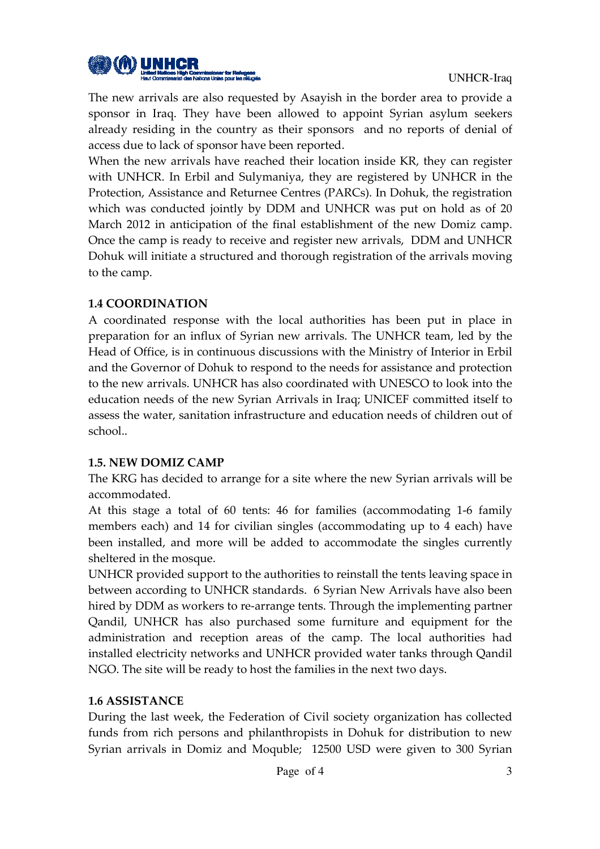

The new arrivals are also requested by Asayish in the border area to provide a sponsor in Iraq. They have been allowed to appoint Syrian asylum seekers already residing in the country as their sponsors and no reports of denial of access due to lack of sponsor have been reported.

When the new arrivals have reached their location inside KR, they can register with UNHCR. In Erbil and Sulymaniya, they are registered by UNHCR in the Protection, Assistance and Returnee Centres (PARCs). In Dohuk, the registration which was conducted jointly by DDM and UNHCR was put on hold as of 20 March 2012 in anticipation of the final establishment of the new Domiz camp. Once the camp is ready to receive and register new arrivals, DDM and UNHCR Dohuk will initiate a structured and thorough registration of the arrivals moving to the camp.

### 1.4 COORDINATION

A coordinated response with the local authorities has been put in place in preparation for an influx of Syrian new arrivals. The UNHCR team, led by the Head of Office, is in continuous discussions with the Ministry of Interior in Erbil and the Governor of Dohuk to respond to the needs for assistance and protection to the new arrivals. UNHCR has also coordinated with UNESCO to look into the education needs of the new Syrian Arrivals in Iraq; UNICEF committed itself to assess the water, sanitation infrastructure and education needs of children out of school..

## 1.5. NEW DOMIZ CAMP

The KRG has decided to arrange for a site where the new Syrian arrivals will be accommodated.

At this stage a total of 60 tents: 46 for families (accommodating 1-6 family members each) and 14 for civilian singles (accommodating up to 4 each) have been installed, and more will be added to accommodate the singles currently sheltered in the mosque.

UNHCR provided support to the authorities to reinstall the tents leaving space in between according to UNHCR standards. 6 Syrian New Arrivals have also been hired by DDM as workers to re-arrange tents. Through the implementing partner Qandil, UNHCR has also purchased some furniture and equipment for the administration and reception areas of the camp. The local authorities had installed electricity networks and UNHCR provided water tanks through Qandil NGO. The site will be ready to host the families in the next two days.

#### 1.6 ASSISTANCE

During the last week, the Federation of Civil society organization has collected funds from rich persons and philanthropists in Dohuk for distribution to new Syrian arrivals in Domiz and Moquble; 12500 USD were given to 300 Syrian